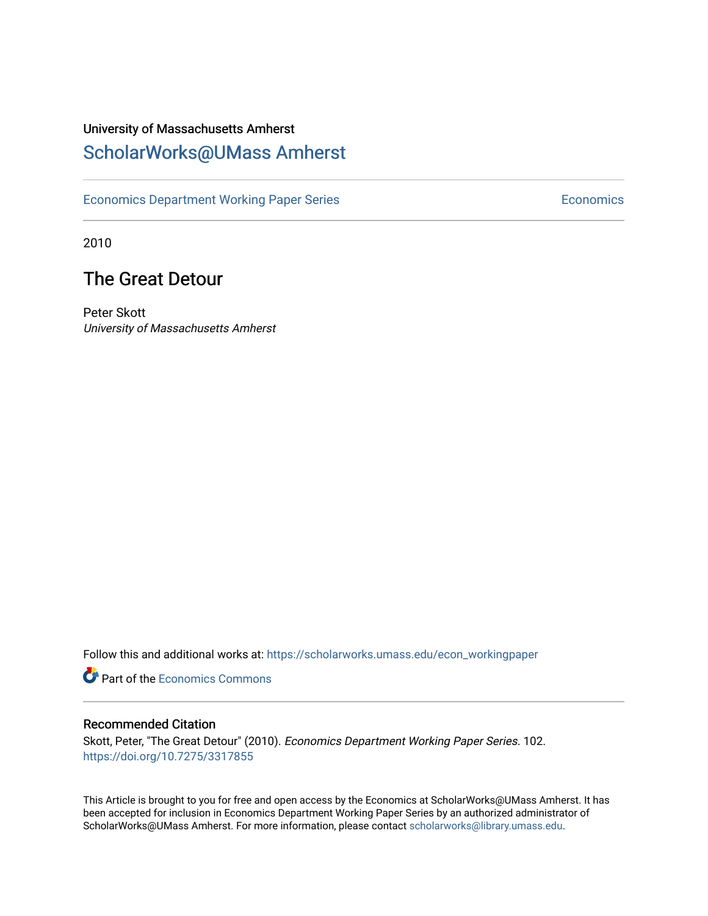### University of Massachusetts Amherst [ScholarWorks@UMass Amherst](https://scholarworks.umass.edu/)

[Economics Department Working Paper Series](https://scholarworks.umass.edu/econ_workingpaper) **Economics** Economics

2010

### The Great Detour

Peter Skott University of Massachusetts Amherst

Follow this and additional works at: [https://scholarworks.umass.edu/econ\\_workingpaper](https://scholarworks.umass.edu/econ_workingpaper?utm_source=scholarworks.umass.edu%2Fecon_workingpaper%2F102&utm_medium=PDF&utm_campaign=PDFCoverPages) 

**Part of the [Economics Commons](http://network.bepress.com/hgg/discipline/340?utm_source=scholarworks.umass.edu%2Fecon_workingpaper%2F102&utm_medium=PDF&utm_campaign=PDFCoverPages)** 

#### Recommended Citation

Skott, Peter, "The Great Detour" (2010). Economics Department Working Paper Series. 102. <https://doi.org/10.7275/3317855>

This Article is brought to you for free and open access by the Economics at ScholarWorks@UMass Amherst. It has been accepted for inclusion in Economics Department Working Paper Series by an authorized administrator of ScholarWorks@UMass Amherst. For more information, please contact [scholarworks@library.umass.edu.](mailto:scholarworks@library.umass.edu)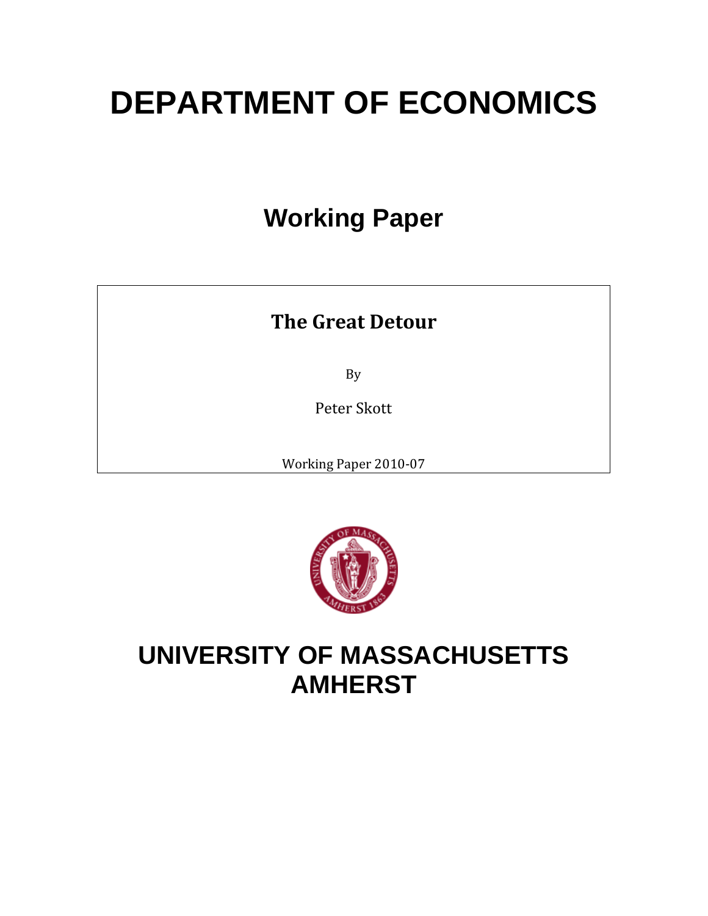# **DEPARTMENT OF ECONOMICS**

# **Working Paper**

## **The Great Detour**

By

Peter Skott

Working Paper 2010‐07



# **UNIVERSITY OF MASSACHUSETTS AMHERST**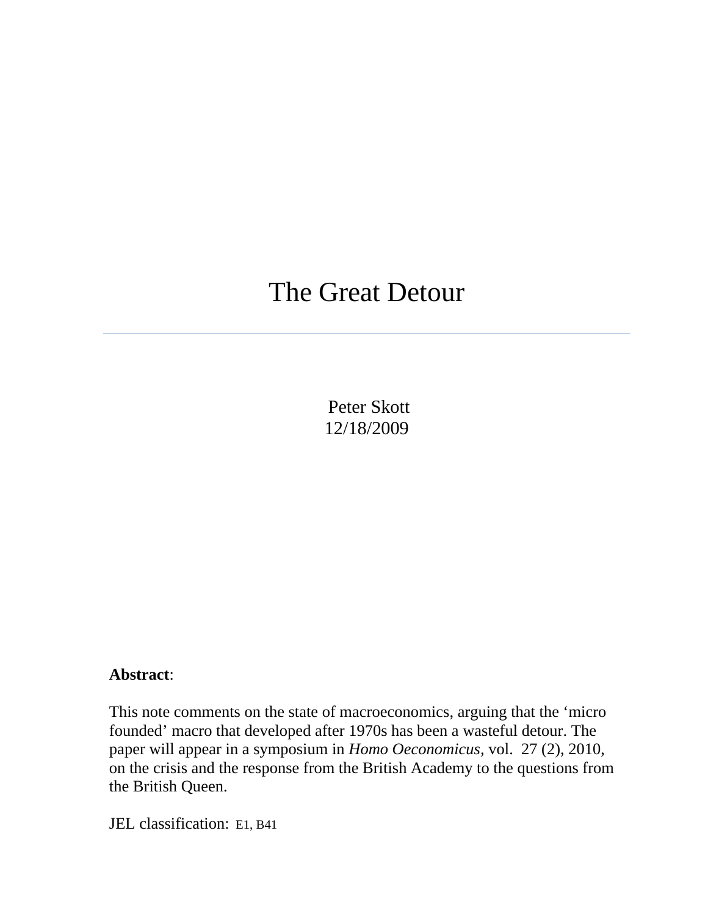# The Great Detour

 Peter Skott 12/18/2009

#### **Abstract**:

This note comments on the state of macroeconomics, arguing that the 'micro founded' macro that developed after 1970s has been a wasteful detour. The paper will appear in a symposium in *Homo Oeconomicus,* vol. 27 (2), 2010, on the crisis and the response from the British Academy to the questions from the British Queen.

JEL classification: E1, B41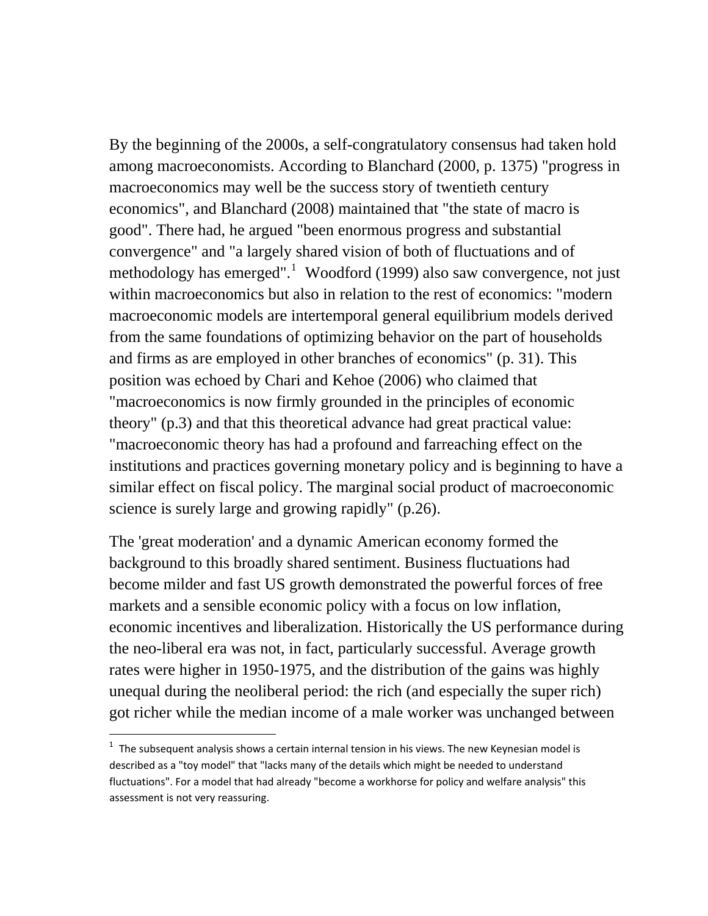By the beginning of the 2000s, a self-congratulatory consensus had taken hold among macroeconomists. According to Blanchard (2000, p. 1375) "progress in macroeconomics may well be the success story of twentieth century economics", and Blanchard (2008) maintained that "the state of macro is good". There had, he argued "been enormous progress and substantial convergence" and "a largely shared vision of both of fluctuations and of methodology has emerged".<sup>[1](#page-3-0)</sup> Woodford (1999) also saw convergence, not just within macroeconomics but also in relation to the rest of economics: "modern macroeconomic models are intertemporal general equilibrium models derived from the same foundations of optimizing behavior on the part of households and firms as are employed in other branches of economics" (p. 31). This position was echoed by Chari and Kehoe (2006) who claimed that "macroeconomics is now firmly grounded in the principles of economic theory" (p.3) and that this theoretical advance had great practical value: "macroeconomic theory has had a profound and farreaching effect on the institutions and practices governing monetary policy and is beginning to have a similar effect on fiscal policy. The marginal social product of macroeconomic science is surely large and growing rapidly" (p.26).

The 'great moderation' and a dynamic American economy formed the background to this broadly shared sentiment. Business fluctuations had become milder and fast US growth demonstrated the powerful forces of free markets and a sensible economic policy with a focus on low inflation, economic incentives and liberalization. Historically the US performance during the neo-liberal era was not, in fact, particularly successful. Average growth rates were higher in 1950-1975, and the distribution of the gains was highly unequal during the neoliberal period: the rich (and especially the super rich) got richer while the median income of a male worker was unchanged between

<span id="page-3-0"></span> $<sup>1</sup>$  The subsequent analysis shows a certain internal tension in his views. The new Keynesian model is</sup> described as a "toy model" that "lacks many of the details which might be needed to understand fluctuations". For a model that had already "become a workhorse for policy and welfare analysis" this assessment is not very reassuring.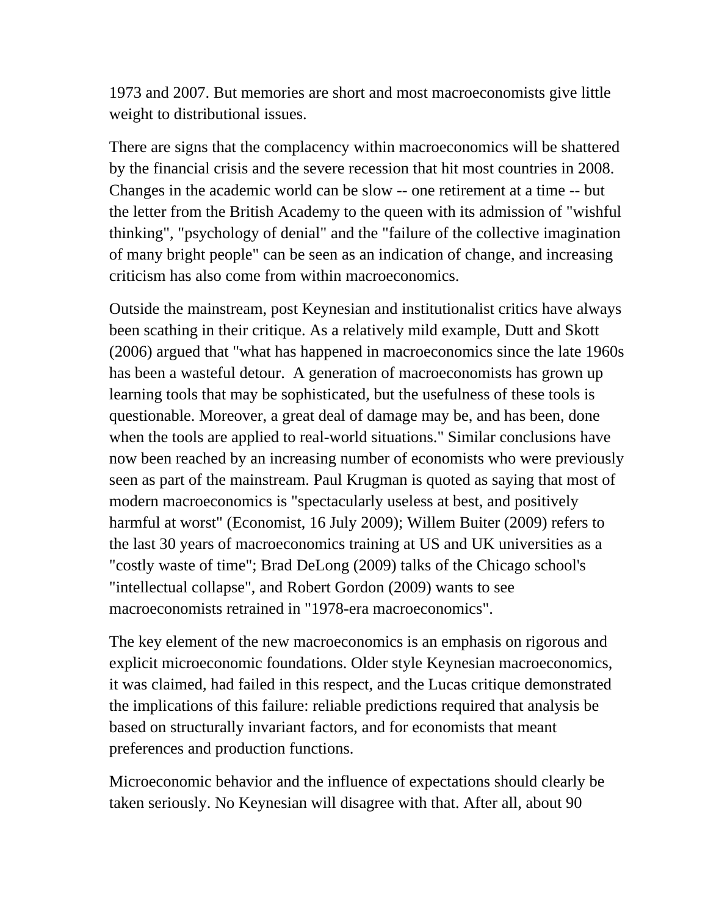1973 and 2007. But memories are short and most macroeconomists give little weight to distributional issues.

There are signs that the complacency within macroeconomics will be shattered by the financial crisis and the severe recession that hit most countries in 2008. Changes in the academic world can be slow -- one retirement at a time -- but the letter from the British Academy to the queen with its admission of "wishful thinking", "psychology of denial" and the "failure of the collective imagination of many bright people" can be seen as an indication of change, and increasing criticism has also come from within macroeconomics.

Outside the mainstream, post Keynesian and institutionalist critics have always been scathing in their critique. As a relatively mild example, Dutt and Skott (2006) argued that "what has happened in macroeconomics since the late 1960s has been a wasteful detour. A generation of macroeconomists has grown up learning tools that may be sophisticated, but the usefulness of these tools is questionable. Moreover, a great deal of damage may be, and has been, done when the tools are applied to real-world situations." Similar conclusions have now been reached by an increasing number of economists who were previously seen as part of the mainstream. Paul Krugman is quoted as saying that most of modern macroeconomics is "spectacularly useless at best, and positively harmful at worst" (Economist, 16 July 2009); Willem Buiter (2009) refers to the last 30 years of macroeconomics training at US and UK universities as a "costly waste of time"; Brad DeLong (2009) talks of the Chicago school's "intellectual collapse", and Robert Gordon (2009) wants to see macroeconomists retrained in "1978-era macroeconomics".

The key element of the new macroeconomics is an emphasis on rigorous and explicit microeconomic foundations. Older style Keynesian macroeconomics, it was claimed, had failed in this respect, and the Lucas critique demonstrated the implications of this failure: reliable predictions required that analysis be based on structurally invariant factors, and for economists that meant preferences and production functions.

Microeconomic behavior and the influence of expectations should clearly be taken seriously. No Keynesian will disagree with that. After all, about 90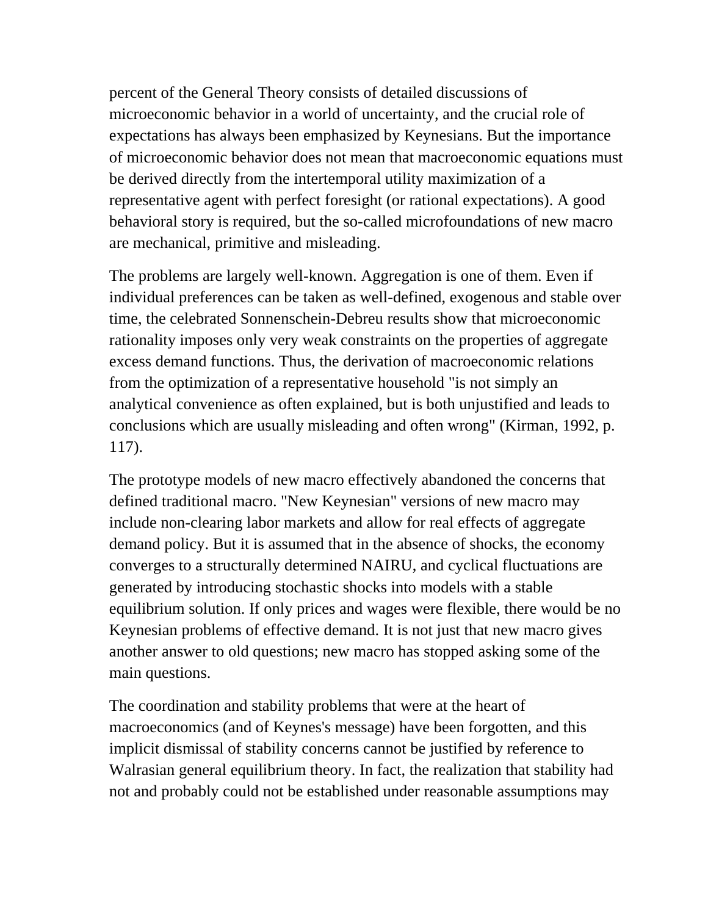percent of the General Theory consists of detailed discussions of microeconomic behavior in a world of uncertainty, and the crucial role of expectations has always been emphasized by Keynesians. But the importance of microeconomic behavior does not mean that macroeconomic equations must be derived directly from the intertemporal utility maximization of a representative agent with perfect foresight (or rational expectations). A good behavioral story is required, but the so-called microfoundations of new macro are mechanical, primitive and misleading.

The problems are largely well-known. Aggregation is one of them. Even if individual preferences can be taken as well-defined, exogenous and stable over time, the celebrated Sonnenschein-Debreu results show that microeconomic rationality imposes only very weak constraints on the properties of aggregate excess demand functions. Thus, the derivation of macroeconomic relations from the optimization of a representative household "is not simply an analytical convenience as often explained, but is both unjustified and leads to conclusions which are usually misleading and often wrong" (Kirman, 1992, p. 117).

The prototype models of new macro effectively abandoned the concerns that defined traditional macro. "New Keynesian" versions of new macro may include non-clearing labor markets and allow for real effects of aggregate demand policy. But it is assumed that in the absence of shocks, the economy converges to a structurally determined NAIRU, and cyclical fluctuations are generated by introducing stochastic shocks into models with a stable equilibrium solution. If only prices and wages were flexible, there would be no Keynesian problems of effective demand. It is not just that new macro gives another answer to old questions; new macro has stopped asking some of the main questions.

The coordination and stability problems that were at the heart of macroeconomics (and of Keynes's message) have been forgotten, and this implicit dismissal of stability concerns cannot be justified by reference to Walrasian general equilibrium theory. In fact, the realization that stability had not and probably could not be established under reasonable assumptions may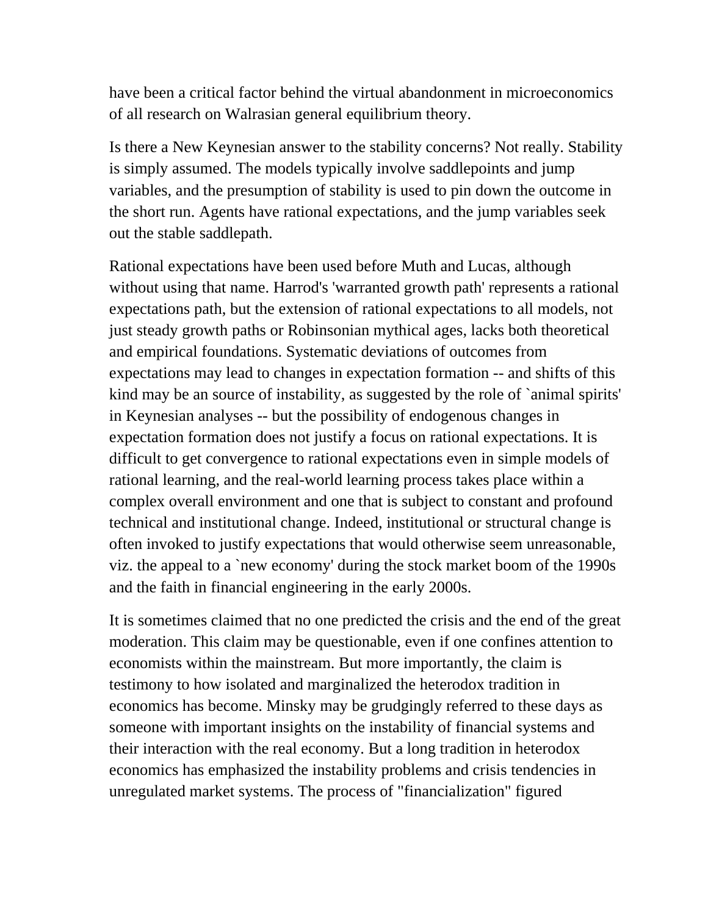have been a critical factor behind the virtual abandonment in microeconomics of all research on Walrasian general equilibrium theory.

Is there a New Keynesian answer to the stability concerns? Not really. Stability is simply assumed. The models typically involve saddlepoints and jump variables, and the presumption of stability is used to pin down the outcome in the short run. Agents have rational expectations, and the jump variables seek out the stable saddlepath.

Rational expectations have been used before Muth and Lucas, although without using that name. Harrod's 'warranted growth path' represents a rational expectations path, but the extension of rational expectations to all models, not just steady growth paths or Robinsonian mythical ages, lacks both theoretical and empirical foundations. Systematic deviations of outcomes from expectations may lead to changes in expectation formation -- and shifts of this kind may be an source of instability, as suggested by the role of `animal spirits' in Keynesian analyses -- but the possibility of endogenous changes in expectation formation does not justify a focus on rational expectations. It is difficult to get convergence to rational expectations even in simple models of rational learning, and the real-world learning process takes place within a complex overall environment and one that is subject to constant and profound technical and institutional change. Indeed, institutional or structural change is often invoked to justify expectations that would otherwise seem unreasonable, viz. the appeal to a `new economy' during the stock market boom of the 1990s and the faith in financial engineering in the early 2000s.

It is sometimes claimed that no one predicted the crisis and the end of the great moderation. This claim may be questionable, even if one confines attention to economists within the mainstream. But more importantly, the claim is testimony to how isolated and marginalized the heterodox tradition in economics has become. Minsky may be grudgingly referred to these days as someone with important insights on the instability of financial systems and their interaction with the real economy. But a long tradition in heterodox economics has emphasized the instability problems and crisis tendencies in unregulated market systems. The process of "financialization" figured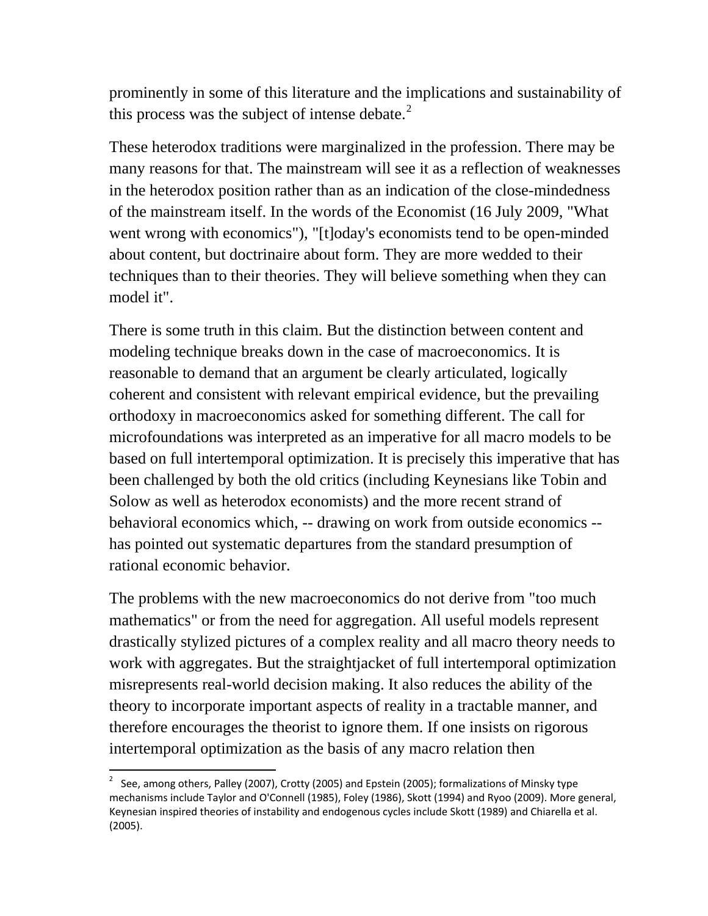prominently in some of this literature and the implications and sustainability of this process was the subject of intense debate. $2^2$  $2^2$ 

These heterodox traditions were marginalized in the profession. There may be many reasons for that. The mainstream will see it as a reflection of weaknesses in the heterodox position rather than as an indication of the close-mindedness of the mainstream itself. In the words of the Economist (16 July 2009, "What went wrong with economics"), "[t]oday's economists tend to be open-minded about content, but doctrinaire about form. They are more wedded to their techniques than to their theories. They will believe something when they can model it".

There is some truth in this claim. But the distinction between content and modeling technique breaks down in the case of macroeconomics. It is reasonable to demand that an argument be clearly articulated, logically coherent and consistent with relevant empirical evidence, but the prevailing orthodoxy in macroeconomics asked for something different. The call for microfoundations was interpreted as an imperative for all macro models to be based on full intertemporal optimization. It is precisely this imperative that has been challenged by both the old critics (including Keynesians like Tobin and Solow as well as heterodox economists) and the more recent strand of behavioral economics which, -- drawing on work from outside economics - has pointed out systematic departures from the standard presumption of rational economic behavior.

The problems with the new macroeconomics do not derive from "too much mathematics" or from the need for aggregation. All useful models represent drastically stylized pictures of a complex reality and all macro theory needs to work with aggregates. But the straightjacket of full intertemporal optimization misrepresents real-world decision making. It also reduces the ability of the theory to incorporate important aspects of reality in a tractable manner, and therefore encourages the theorist to ignore them. If one insists on rigorous intertemporal optimization as the basis of any macro relation then

<span id="page-7-0"></span><sup>&</sup>lt;sup>2</sup> See, among others, Palley (2007), Crotty (2005) and Epstein (2005); formalizations of Minsky type mechanisms include Taylor and O'Connell (1985), Foley (1986), Skott (1994) and Ryoo (2009). More general, Keynesian inspired theories of instability and endogenous cycles include Skott (1989) and Chiarella et al. (2005).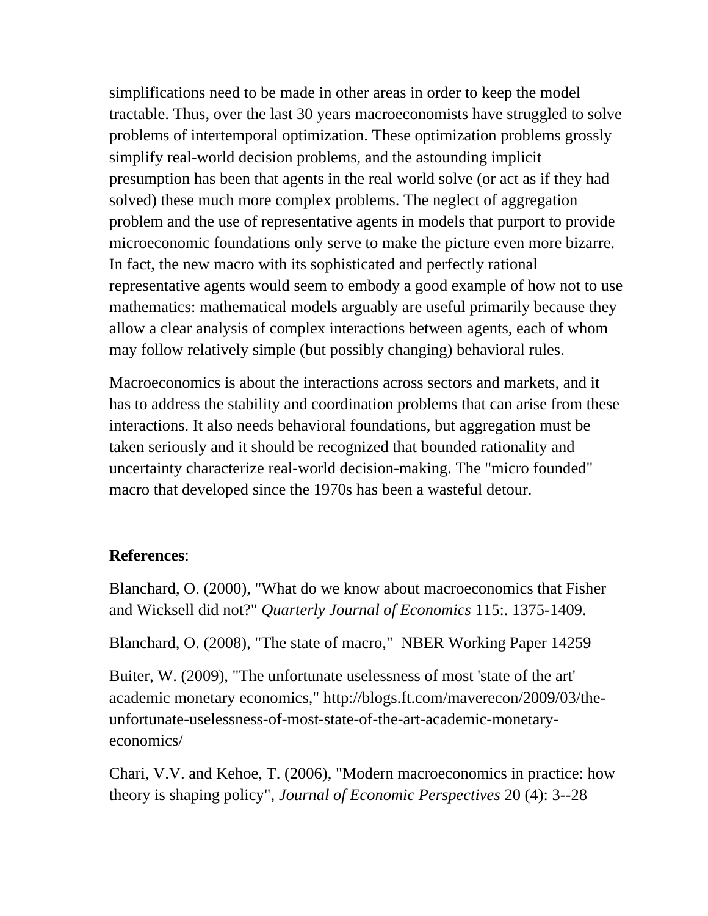simplifications need to be made in other areas in order to keep the model tractable. Thus, over the last 30 years macroeconomists have struggled to solve problems of intertemporal optimization. These optimization problems grossly simplify real-world decision problems, and the astounding implicit presumption has been that agents in the real world solve (or act as if they had solved) these much more complex problems. The neglect of aggregation problem and the use of representative agents in models that purport to provide microeconomic foundations only serve to make the picture even more bizarre. In fact, the new macro with its sophisticated and perfectly rational representative agents would seem to embody a good example of how not to use mathematics: mathematical models arguably are useful primarily because they allow a clear analysis of complex interactions between agents, each of whom may follow relatively simple (but possibly changing) behavioral rules.

Macroeconomics is about the interactions across sectors and markets, and it has to address the stability and coordination problems that can arise from these interactions. It also needs behavioral foundations, but aggregation must be taken seriously and it should be recognized that bounded rationality and uncertainty characterize real-world decision-making. The "micro founded" macro that developed since the 1970s has been a wasteful detour.

#### **References**:

Blanchard, O. (2000), "What do we know about macroeconomics that Fisher and Wicksell did not?" *Quarterly Journal of Economics* 115:. 1375-1409.

Blanchard, O. (2008), "The state of macro," NBER Working Paper 14259

Buiter, W. (2009), "The unfortunate uselessness of most 'state of the art' academic monetary economics," http://blogs.ft.com/maverecon/2009/03/theunfortunate-uselessness-of-most-state-of-the-art-academic-monetaryeconomics/

Chari, V.V. and Kehoe, T. (2006), "Modern macroeconomics in practice: how theory is shaping policy", *Journal of Economic Perspectives* 20 (4): 3--28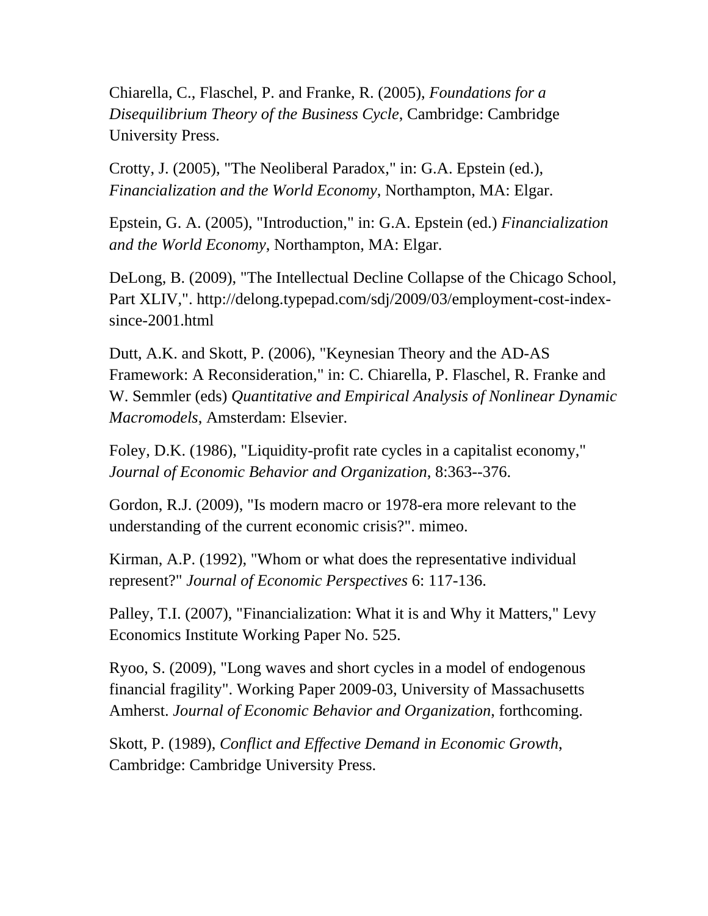Chiarella, C., Flaschel, P. and Franke, R. (2005), *Foundations for a Disequilibrium Theory of the Business Cycle*, Cambridge: Cambridge University Press.

Crotty, J. (2005), "The Neoliberal Paradox," in: G.A. Epstein (ed.), *Financialization and the World Economy*, Northampton, MA: Elgar.

Epstein, G. A. (2005), "Introduction," in: G.A. Epstein (ed.) *Financialization and the World Economy*, Northampton, MA: Elgar.

DeLong, B. (2009), "The Intellectual Decline Collapse of the Chicago School, Part XLIV,". http://delong.typepad.com/sdj/2009/03/employment-cost-indexsince-2001.html

Dutt, A.K. and Skott, P. (2006), "Keynesian Theory and the AD-AS Framework: A Reconsideration," in: C. Chiarella, P. Flaschel, R. Franke and W. Semmler (eds) *Quantitative and Empirical Analysis of Nonlinear Dynamic Macromodels*, Amsterdam: Elsevier.

Foley, D.K. (1986), "Liquidity-profit rate cycles in a capitalist economy," *Journal of Economic Behavior and Organization*, 8:363--376.

Gordon, R.J. (2009), "Is modern macro or 1978-era more relevant to the understanding of the current economic crisis?". mimeo.

Kirman, A.P. (1992), "Whom or what does the representative individual represent?" *Journal of Economic Perspectives* 6: 117-136.

Palley, T.I. (2007), "Financialization: What it is and Why it Matters," Levy Economics Institute Working Paper No. 525.

Ryoo, S. (2009), "Long waves and short cycles in a model of endogenous financial fragility". Working Paper 2009-03, University of Massachusetts Amherst. *Journal of Economic Behavior and Organization*, forthcoming.

Skott, P. (1989), *Conflict and Effective Demand in Economic Growth*, Cambridge: Cambridge University Press.